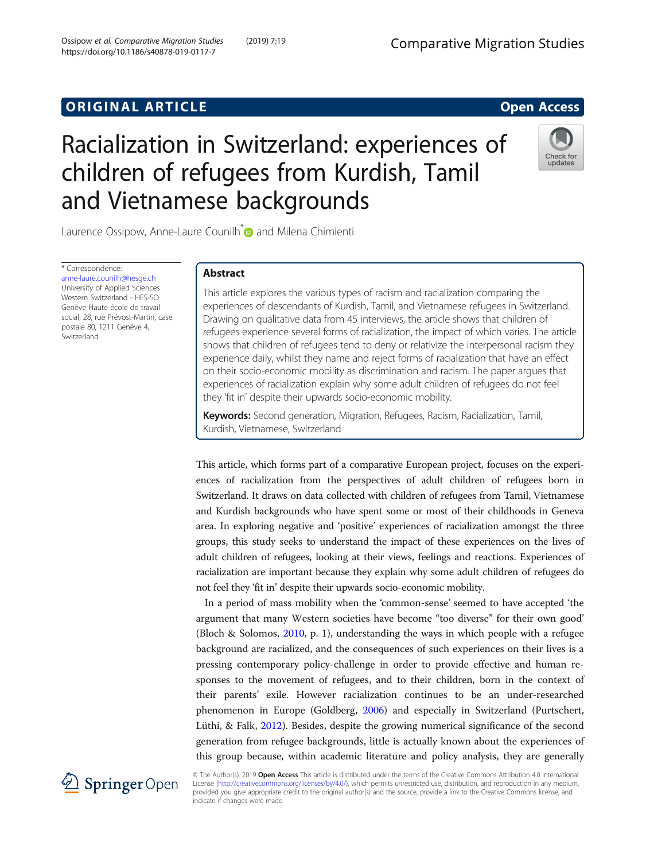## **ORIGINAL ARTICLE CONSERVANCE IN A LOCAL CONSERVANCE IN A LOCAL CONSERVANCE IN A LOCAL CONSERVANCE IN A LOCAL CONSERVANCE IN A LOCAL CONSERVANCE IN A LOCAL CONSERVANCE IN A LOCAL CONSERVANCE IN A LOCAL CONSERVANCE IN A L**

# Racialization in Switzerland: experiences of children of refugees from Kurdish, Tamil and Vietnamese backgrounds



Laurence Ossipow, Anne-Laure Counilh<sup>\*</sup> and Milena Chimienti

\* Correspondence: [anne-laure.counilh@hesge.ch](mailto:anne-laure.counilh@hesge.ch) University of Applied Sciences Western Switzerland - HES-SO Genève Haute école de travail social, 28, rue Prévost-Martin, case postale 80, 1211 Genève 4, Switzerland

## Abstract

This article explores the various types of racism and racialization comparing the experiences of descendants of Kurdish, Tamil, and Vietnamese refugees in Switzerland. Drawing on qualitative data from 45 interviews, the article shows that children of refugees experience several forms of racialization, the impact of which varies. The article shows that children of refugees tend to deny or relativize the interpersonal racism they experience daily, whilst they name and reject forms of racialization that have an effect on their socio-economic mobility as discrimination and racism. The paper argues that experiences of racialization explain why some adult children of refugees do not feel they 'fit in' despite their upwards socio-economic mobility.

Keywords: Second generation, Migration, Refugees, Racism, Racialization, Tamil, Kurdish, Vietnamese, Switzerland

This article, which forms part of a comparative European project, focuses on the experiences of racialization from the perspectives of adult children of refugees born in Switzerland. It draws on data collected with children of refugees from Tamil, Vietnamese and Kurdish backgrounds who have spent some or most of their childhoods in Geneva area. In exploring negative and 'positive' experiences of racialization amongst the three groups, this study seeks to understand the impact of these experiences on the lives of adult children of refugees, looking at their views, feelings and reactions. Experiences of racialization are important because they explain why some adult children of refugees do not feel they 'fit in' despite their upwards socio-economic mobility.

In a period of mass mobility when the 'common-sense' seemed to have accepted 'the argument that many Western societies have become "too diverse" for their own good' (Bloch & Solomos, [2010,](#page-14-0) p. 1), understanding the ways in which people with a refugee background are racialized, and the consequences of such experiences on their lives is a pressing contemporary policy-challenge in order to provide effective and human responses to the movement of refugees, and to their children, born in the context of their parents' exile. However racialization continues to be an under-researched phenomenon in Europe (Goldberg, [2006](#page-15-0)) and especially in Switzerland (Purtschert, Lüthi, & Falk, [2012](#page-16-0)). Besides, despite the growing numerical significance of the second generation from refugee backgrounds, little is actually known about the experiences of this group because, within academic literature and policy analysis, they are generally



© The Author(s). 2019 Open Access This article is distributed under the terms of the Creative Commons Attribution 4.0 International License [\(http://creativecommons.org/licenses/by/4.0/](http://creativecommons.org/licenses/by/4.0/)), which permits unrestricted use, distribution, and reproduction in any medium, provided you give appropriate credit to the original author(s) and the source, provide a link to the Creative Commons license, and indicate if changes were made.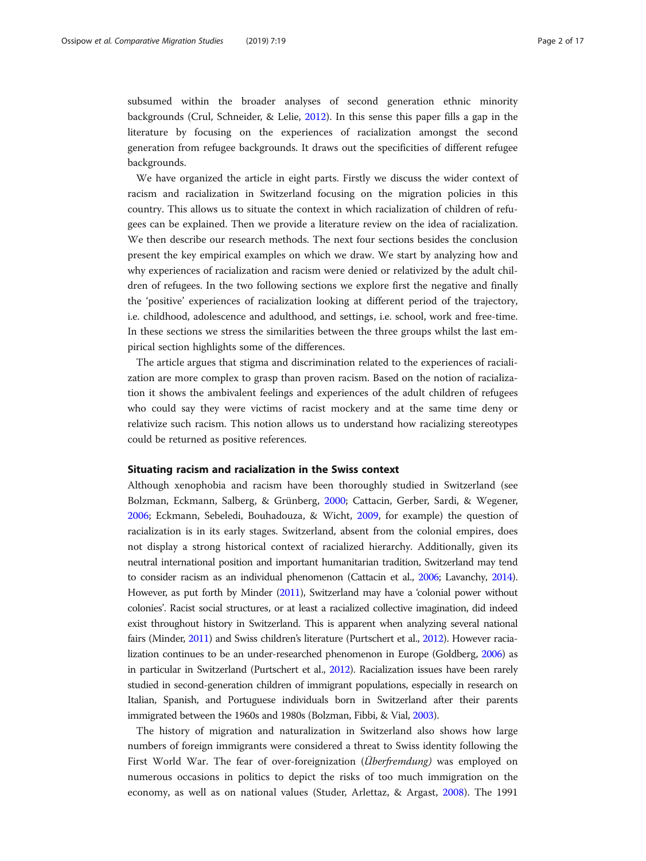subsumed within the broader analyses of second generation ethnic minority backgrounds (Crul, Schneider, & Lelie, [2012\)](#page-15-0). In this sense this paper fills a gap in the literature by focusing on the experiences of racialization amongst the second generation from refugee backgrounds. It draws out the specificities of different refugee backgrounds.

We have organized the article in eight parts. Firstly we discuss the wider context of racism and racialization in Switzerland focusing on the migration policies in this country. This allows us to situate the context in which racialization of children of refugees can be explained. Then we provide a literature review on the idea of racialization. We then describe our research methods. The next four sections besides the conclusion present the key empirical examples on which we draw. We start by analyzing how and why experiences of racialization and racism were denied or relativized by the adult children of refugees. In the two following sections we explore first the negative and finally the 'positive' experiences of racialization looking at different period of the trajectory, i.e. childhood, adolescence and adulthood, and settings, i.e. school, work and free-time. In these sections we stress the similarities between the three groups whilst the last empirical section highlights some of the differences.

The article argues that stigma and discrimination related to the experiences of racialization are more complex to grasp than proven racism. Based on the notion of racialization it shows the ambivalent feelings and experiences of the adult children of refugees who could say they were victims of racist mockery and at the same time deny or relativize such racism. This notion allows us to understand how racializing stereotypes could be returned as positive references.

#### Situating racism and racialization in the Swiss context

Although xenophobia and racism have been thoroughly studied in Switzerland (see Bolzman, Eckmann, Salberg, & Grünberg, [2000;](#page-15-0) Cattacin, Gerber, Sardi, & Wegener, [2006](#page-15-0); Eckmann, Sebeledi, Bouhadouza, & Wicht, [2009](#page-15-0), for example) the question of racialization is in its early stages. Switzerland, absent from the colonial empires, does not display a strong historical context of racialized hierarchy. Additionally, given its neutral international position and important humanitarian tradition, Switzerland may tend to consider racism as an individual phenomenon (Cattacin et al., [2006;](#page-15-0) Lavanchy, [2014](#page-15-0)). However, as put forth by Minder [\(2011\)](#page-15-0), Switzerland may have a 'colonial power without colonies'. Racist social structures, or at least a racialized collective imagination, did indeed exist throughout history in Switzerland. This is apparent when analyzing several national fairs (Minder, [2011\)](#page-15-0) and Swiss children's literature (Purtschert et al., [2012\)](#page-16-0). However racialization continues to be an under-researched phenomenon in Europe (Goldberg, [2006](#page-15-0)) as in particular in Switzerland (Purtschert et al., [2012\)](#page-16-0). Racialization issues have been rarely studied in second-generation children of immigrant populations, especially in research on Italian, Spanish, and Portuguese individuals born in Switzerland after their parents immigrated between the 1960s and 1980s (Bolzman, Fibbi, & Vial, [2003\)](#page-15-0).

The history of migration and naturalization in Switzerland also shows how large numbers of foreign immigrants were considered a threat to Swiss identity following the First World War. The fear of over-foreignization (*Überfremdung*) was employed on numerous occasions in politics to depict the risks of too much immigration on the economy, as well as on national values (Studer, Arlettaz, & Argast, [2008\)](#page-16-0). The 1991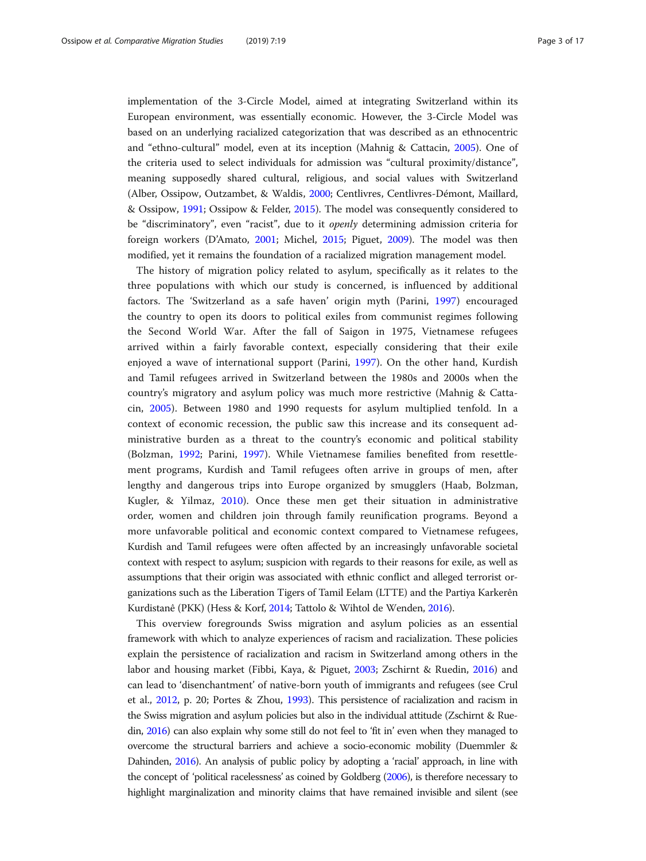implementation of the 3-Circle Model, aimed at integrating Switzerland within its European environment, was essentially economic. However, the 3-Circle Model was based on an underlying racialized categorization that was described as an ethnocentric and "ethno-cultural" model, even at its inception (Mahnig & Cattacin, [2005\)](#page-15-0). One of the criteria used to select individuals for admission was "cultural proximity/distance", meaning supposedly shared cultural, religious, and social values with Switzerland (Alber, Ossipow, Outzambet, & Waldis, [2000;](#page-14-0) Centlivres, Centlivres-Démont, Maillard, & Ossipow, [1991;](#page-15-0) Ossipow & Felder, [2015\)](#page-16-0). The model was consequently considered to be "discriminatory", even "racist", due to it openly determining admission criteria for foreign workers (D'Amato, [2001;](#page-15-0) Michel, [2015](#page-15-0); Piguet, [2009](#page-16-0)). The model was then modified, yet it remains the foundation of a racialized migration management model.

The history of migration policy related to asylum, specifically as it relates to the three populations with which our study is concerned, is influenced by additional factors. The 'Switzerland as a safe haven' origin myth (Parini, [1997](#page-16-0)) encouraged the country to open its doors to political exiles from communist regimes following the Second World War. After the fall of Saigon in 1975, Vietnamese refugees arrived within a fairly favorable context, especially considering that their exile enjoyed a wave of international support (Parini, [1997](#page-16-0)). On the other hand, Kurdish and Tamil refugees arrived in Switzerland between the 1980s and 2000s when the country's migratory and asylum policy was much more restrictive (Mahnig & Cattacin, [2005](#page-15-0)). Between 1980 and 1990 requests for asylum multiplied tenfold. In a context of economic recession, the public saw this increase and its consequent administrative burden as a threat to the country's economic and political stability (Bolzman, [1992;](#page-14-0) Parini, [1997](#page-16-0)). While Vietnamese families benefited from resettlement programs, Kurdish and Tamil refugees often arrive in groups of men, after lengthy and dangerous trips into Europe organized by smugglers (Haab, Bolzman, Kugler, & Yilmaz, [2010](#page-15-0)). Once these men get their situation in administrative order, women and children join through family reunification programs. Beyond a more unfavorable political and economic context compared to Vietnamese refugees, Kurdish and Tamil refugees were often affected by an increasingly unfavorable societal context with respect to asylum; suspicion with regards to their reasons for exile, as well as assumptions that their origin was associated with ethnic conflict and alleged terrorist organizations such as the Liberation Tigers of Tamil Eelam (LTTE) and the Partiya Karkerên Kurdistanê (PKK) (Hess & Korf, [2014](#page-15-0); Tattolo & Wihtol de Wenden, [2016](#page-16-0)).

This overview foregrounds Swiss migration and asylum policies as an essential framework with which to analyze experiences of racism and racialization. These policies explain the persistence of racialization and racism in Switzerland among others in the labor and housing market (Fibbi, Kaya, & Piguet, [2003](#page-15-0); Zschirnt & Ruedin, [2016\)](#page-16-0) and can lead to 'disenchantment' of native-born youth of immigrants and refugees (see Crul et al., [2012,](#page-15-0) p. 20; Portes & Zhou, [1993](#page-16-0)). This persistence of racialization and racism in the Swiss migration and asylum policies but also in the individual attitude (Zschirnt & Ruedin, [2016](#page-16-0)) can also explain why some still do not feel to 'fit in' even when they managed to overcome the structural barriers and achieve a socio-economic mobility (Duemmler & Dahinden, [2016](#page-15-0)). An analysis of public policy by adopting a 'racial' approach, in line with the concept of 'political racelessness' as coined by Goldberg ([2006](#page-15-0)), is therefore necessary to highlight marginalization and minority claims that have remained invisible and silent (see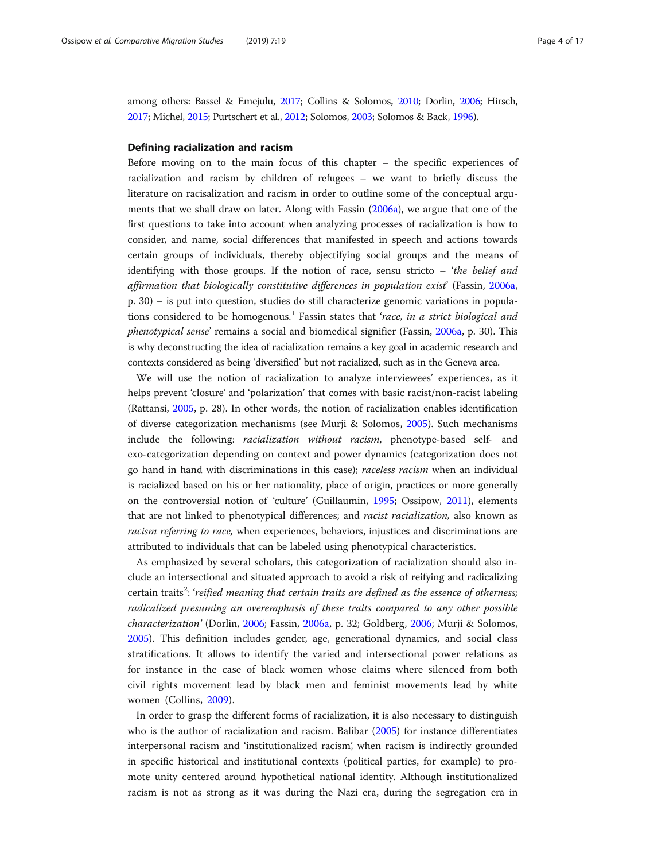among others: Bassel & Emejulu, [2017](#page-14-0); Collins & Solomos, [2010;](#page-15-0) Dorlin, [2006;](#page-15-0) Hirsch, [2017;](#page-15-0) Michel, [2015;](#page-15-0) Purtschert et al., [2012;](#page-16-0) Solomos, [2003](#page-16-0); Solomos & Back, [1996](#page-16-0)).

#### Defining racialization and racism

Before moving on to the main focus of this chapter – the specific experiences of racialization and racism by children of refugees – we want to briefly discuss the literature on racisalization and racism in order to outline some of the conceptual arguments that we shall draw on later. Along with Fassin [\(2006a](#page-15-0)), we argue that one of the first questions to take into account when analyzing processes of racialization is how to consider, and name, social differences that manifested in speech and actions towards certain groups of individuals, thereby objectifying social groups and the means of identifying with those groups. If the notion of race, sensu stricto  $-$  'the belief and affirmation that biologically constitutive differences in population exist' (Fassin, [2006a](#page-15-0), p. 30) – is put into question, studies do still characterize genomic variations in populations considered to be homogenous.<sup>1</sup> Fassin states that 'race, in a strict biological and phenotypical sense' remains a social and biomedical signifier (Fassin, [2006a,](#page-15-0) p. 30). This is why deconstructing the idea of racialization remains a key goal in academic research and contexts considered as being 'diversified' but not racialized, such as in the Geneva area.

We will use the notion of racialization to analyze interviewees' experiences, as it helps prevent 'closure' and 'polarization' that comes with basic racist/non-racist labeling (Rattansi, [2005,](#page-16-0) p. 28). In other words, the notion of racialization enables identification of diverse categorization mechanisms (see Murji & Solomos, [2005](#page-16-0)). Such mechanisms include the following: racialization without racism, phenotype-based self- and exo-categorization depending on context and power dynamics (categorization does not go hand in hand with discriminations in this case); raceless racism when an individual is racialized based on his or her nationality, place of origin, practices or more generally on the controversial notion of 'culture' (Guillaumin, [1995;](#page-15-0) Ossipow, [2011](#page-16-0)), elements that are not linked to phenotypical differences; and racist racialization, also known as racism referring to race, when experiences, behaviors, injustices and discriminations are attributed to individuals that can be labeled using phenotypical characteristics.

As emphasized by several scholars, this categorization of racialization should also include an intersectional and situated approach to avoid a risk of reifying and radicalizing certain traits<sup>2</sup>: 'reified meaning that certain traits are defined as the essence of otherness; radicalized presuming an overemphasis of these traits compared to any other possible characterization' (Dorlin, [2006;](#page-15-0) Fassin, [2006a,](#page-15-0) p. 32; Goldberg, [2006](#page-15-0); Murji & Solomos, [2005](#page-16-0)). This definition includes gender, age, generational dynamics, and social class stratifications. It allows to identify the varied and intersectional power relations as for instance in the case of black women whose claims where silenced from both civil rights movement lead by black men and feminist movements lead by white women (Collins, [2009\)](#page-15-0).

In order to grasp the different forms of racialization, it is also necessary to distinguish who is the author of racialization and racism. Balibar [\(2005\)](#page-14-0) for instance differentiates interpersonal racism and 'institutionalized racism', when racism is indirectly grounded in specific historical and institutional contexts (political parties, for example) to promote unity centered around hypothetical national identity. Although institutionalized racism is not as strong as it was during the Nazi era, during the segregation era in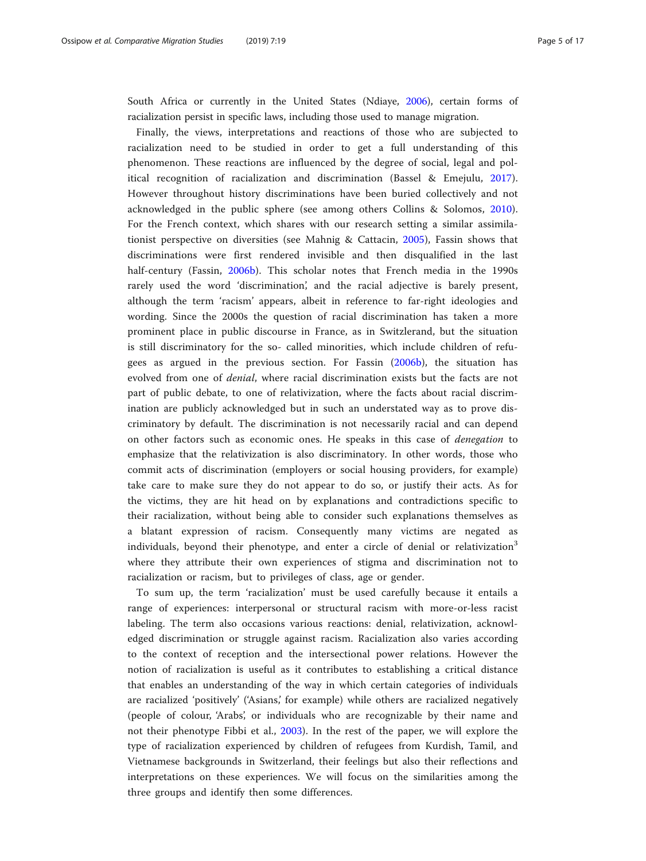South Africa or currently in the United States (Ndiaye, [2006](#page-16-0)), certain forms of racialization persist in specific laws, including those used to manage migration.

Finally, the views, interpretations and reactions of those who are subjected to racialization need to be studied in order to get a full understanding of this phenomenon. These reactions are influenced by the degree of social, legal and political recognition of racialization and discrimination (Bassel & Emejulu, [2017](#page-14-0)). However throughout history discriminations have been buried collectively and not acknowledged in the public sphere (see among others Collins & Solomos, [2010](#page-15-0)). For the French context, which shares with our research setting a similar assimilationist perspective on diversities (see Mahnig & Cattacin, [2005\)](#page-15-0), Fassin shows that discriminations were first rendered invisible and then disqualified in the last half-century (Fassin, [2006b\)](#page-15-0). This scholar notes that French media in the 1990s rarely used the word 'discrimination', and the racial adjective is barely present, although the term 'racism' appears, albeit in reference to far-right ideologies and wording. Since the 2000s the question of racial discrimination has taken a more prominent place in public discourse in France, as in Switzlerand, but the situation is still discriminatory for the so- called minorities, which include children of refugees as argued in the previous section. For Fassin ([2006b\)](#page-15-0), the situation has evolved from one of *denial*, where racial discrimination exists but the facts are not part of public debate, to one of relativization, where the facts about racial discrimination are publicly acknowledged but in such an understated way as to prove discriminatory by default. The discrimination is not necessarily racial and can depend on other factors such as economic ones. He speaks in this case of denegation to emphasize that the relativization is also discriminatory. In other words, those who commit acts of discrimination (employers or social housing providers, for example) take care to make sure they do not appear to do so, or justify their acts. As for the victims, they are hit head on by explanations and contradictions specific to their racialization, without being able to consider such explanations themselves as a blatant expression of racism. Consequently many victims are negated as individuals, beyond their phenotype, and enter a circle of denial or relativization<sup>3</sup> where they attribute their own experiences of stigma and discrimination not to racialization or racism, but to privileges of class, age or gender.

To sum up, the term 'racialization' must be used carefully because it entails a range of experiences: interpersonal or structural racism with more-or-less racist labeling. The term also occasions various reactions: denial, relativization, acknowledged discrimination or struggle against racism. Racialization also varies according to the context of reception and the intersectional power relations. However the notion of racialization is useful as it contributes to establishing a critical distance that enables an understanding of the way in which certain categories of individuals are racialized 'positively' ('Asians,' for example) while others are racialized negatively (people of colour, 'Arabs', or individuals who are recognizable by their name and not their phenotype Fibbi et al., [2003\)](#page-15-0). In the rest of the paper, we will explore the type of racialization experienced by children of refugees from Kurdish, Tamil, and Vietnamese backgrounds in Switzerland, their feelings but also their reflections and interpretations on these experiences. We will focus on the similarities among the three groups and identify then some differences.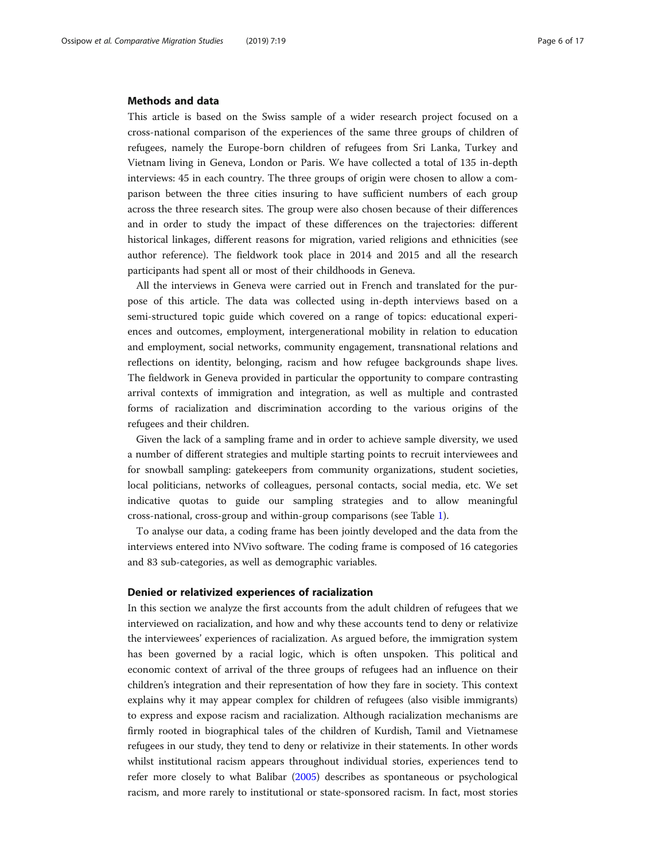#### Methods and data

This article is based on the Swiss sample of a wider research project focused on a cross-national comparison of the experiences of the same three groups of children of refugees, namely the Europe-born children of refugees from Sri Lanka, Turkey and Vietnam living in Geneva, London or Paris. We have collected a total of 135 in-depth interviews: 45 in each country. The three groups of origin were chosen to allow a comparison between the three cities insuring to have sufficient numbers of each group across the three research sites. The group were also chosen because of their differences and in order to study the impact of these differences on the trajectories: different historical linkages, different reasons for migration, varied religions and ethnicities (see author reference). The fieldwork took place in 2014 and 2015 and all the research participants had spent all or most of their childhoods in Geneva.

All the interviews in Geneva were carried out in French and translated for the purpose of this article. The data was collected using in-depth interviews based on a semi-structured topic guide which covered on a range of topics: educational experiences and outcomes, employment, intergenerational mobility in relation to education and employment, social networks, community engagement, transnational relations and reflections on identity, belonging, racism and how refugee backgrounds shape lives. The fieldwork in Geneva provided in particular the opportunity to compare contrasting arrival contexts of immigration and integration, as well as multiple and contrasted forms of racialization and discrimination according to the various origins of the refugees and their children.

Given the lack of a sampling frame and in order to achieve sample diversity, we used a number of different strategies and multiple starting points to recruit interviewees and for snowball sampling: gatekeepers from community organizations, student societies, local politicians, networks of colleagues, personal contacts, social media, etc. We set indicative quotas to guide our sampling strategies and to allow meaningful cross-national, cross-group and within-group comparisons (see Table [1\)](#page-6-0).

To analyse our data, a coding frame has been jointly developed and the data from the interviews entered into NVivo software. The coding frame is composed of 16 categories and 83 sub-categories, as well as demographic variables.

### Denied or relativized experiences of racialization

In this section we analyze the first accounts from the adult children of refugees that we interviewed on racialization, and how and why these accounts tend to deny or relativize the interviewees' experiences of racialization. As argued before, the immigration system has been governed by a racial logic, which is often unspoken. This political and economic context of arrival of the three groups of refugees had an influence on their children's integration and their representation of how they fare in society. This context explains why it may appear complex for children of refugees (also visible immigrants) to express and expose racism and racialization. Although racialization mechanisms are firmly rooted in biographical tales of the children of Kurdish, Tamil and Vietnamese refugees in our study, they tend to deny or relativize in their statements. In other words whilst institutional racism appears throughout individual stories, experiences tend to refer more closely to what Balibar [\(2005\)](#page-14-0) describes as spontaneous or psychological racism, and more rarely to institutional or state-sponsored racism. In fact, most stories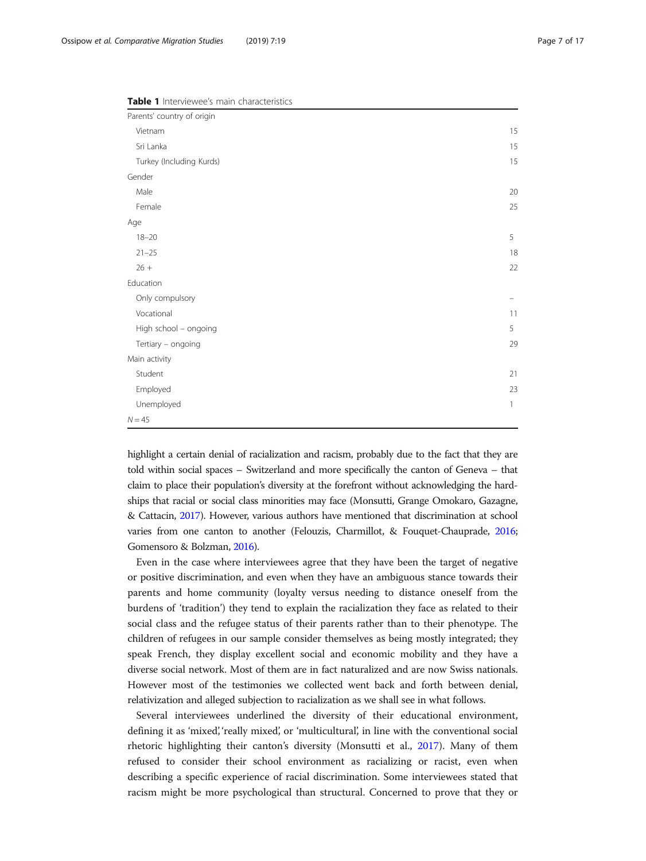| Parents' country of origin |              |
|----------------------------|--------------|
|                            |              |
| Vietnam                    | 15           |
| Sri Lanka                  | 15           |
| Turkey (Including Kurds)   | 15           |
| Gender                     |              |
| Male                       | 20           |
| Female                     | 25           |
| Age                        |              |
| $18 - 20$                  | 5            |
| $21 - 25$                  | 18           |
| $26 +$                     | 22           |
| Education                  |              |
| Only compulsory            |              |
| Vocational                 | 11           |
| High school - ongoing      | 5            |
| Tertiary - ongoing         | 29           |
| Main activity              |              |
| Student                    | 21           |
| Employed                   | 23           |
| Unemployed                 | $\mathbf{1}$ |
| $N = 45$                   |              |

<span id="page-6-0"></span>Table 1 Interviewee's main characteristics

highlight a certain denial of racialization and racism, probably due to the fact that they are told within social spaces – Switzerland and more specifically the canton of Geneva – that claim to place their population's diversity at the forefront without acknowledging the hardships that racial or social class minorities may face (Monsutti, Grange Omokaro, Gazagne, & Cattacin, [2017\)](#page-15-0). However, various authors have mentioned that discrimination at school varies from one canton to another (Felouzis, Charmillot, & Fouquet-Chauprade, [2016](#page-15-0); Gomensoro & Bolzman, [2016](#page-15-0)).

Even in the case where interviewees agree that they have been the target of negative or positive discrimination, and even when they have an ambiguous stance towards their parents and home community (loyalty versus needing to distance oneself from the burdens of 'tradition') they tend to explain the racialization they face as related to their social class and the refugee status of their parents rather than to their phenotype. The children of refugees in our sample consider themselves as being mostly integrated; they speak French, they display excellent social and economic mobility and they have a diverse social network. Most of them are in fact naturalized and are now Swiss nationals. However most of the testimonies we collected went back and forth between denial, relativization and alleged subjection to racialization as we shall see in what follows.

Several interviewees underlined the diversity of their educational environment, defining it as 'mixed', 'really mixed', or 'multicultural', in line with the conventional social rhetoric highlighting their canton's diversity (Monsutti et al., [2017\)](#page-15-0). Many of them refused to consider their school environment as racializing or racist, even when describing a specific experience of racial discrimination. Some interviewees stated that racism might be more psychological than structural. Concerned to prove that they or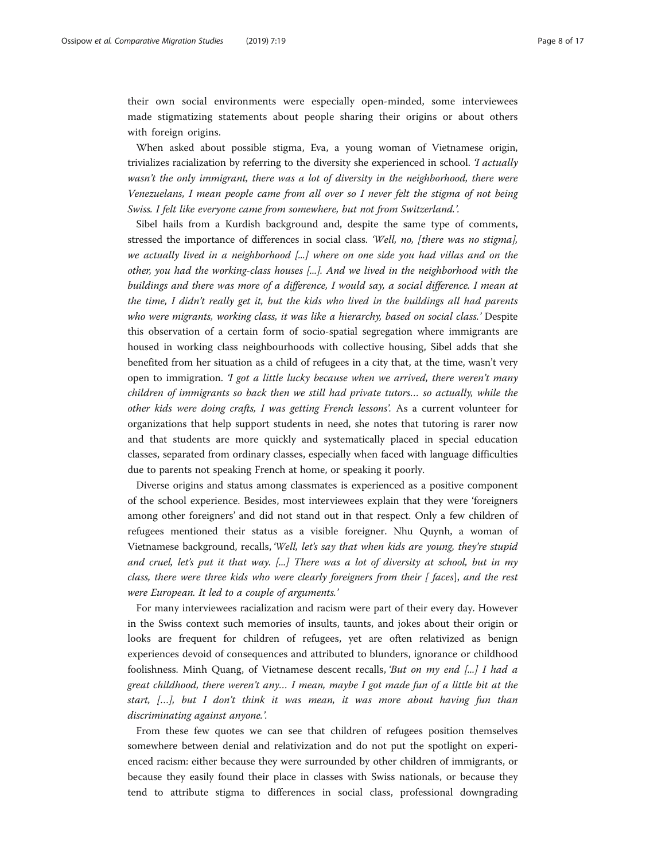their own social environments were especially open-minded, some interviewees made stigmatizing statements about people sharing their origins or about others with foreign origins.

When asked about possible stigma, Eva, a young woman of Vietnamese origin, trivializes racialization by referring to the diversity she experienced in school. *T* actually wasn't the only immigrant, there was a lot of diversity in the neighborhood, there were Venezuelans, I mean people came from all over so I never felt the stigma of not being Swiss. I felt like everyone came from somewhere, but not from Switzerland.'.

Sibel hails from a Kurdish background and, despite the same type of comments, stressed the importance of differences in social class. 'Well, no, [there was no stigma], we actually lived in a neighborhood [...] where on one side you had villas and on the other, you had the working-class houses [...]. And we lived in the neighborhood with the buildings and there was more of a difference, I would say, a social difference. I mean at the time, I didn't really get it, but the kids who lived in the buildings all had parents who were migrants, working class, it was like a hierarchy, based on social class.' Despite this observation of a certain form of socio-spatial segregation where immigrants are housed in working class neighbourhoods with collective housing, Sibel adds that she benefited from her situation as a child of refugees in a city that, at the time, wasn't very open to immigration. *'I got a little lucky because when we arrived, there weren't many* children of immigrants so back then we still had private tutors… so actually, while the other kids were doing crafts, I was getting French lessons'. As a current volunteer for organizations that help support students in need, she notes that tutoring is rarer now and that students are more quickly and systematically placed in special education classes, separated from ordinary classes, especially when faced with language difficulties due to parents not speaking French at home, or speaking it poorly.

Diverse origins and status among classmates is experienced as a positive component of the school experience. Besides, most interviewees explain that they were 'foreigners among other foreigners' and did not stand out in that respect. Only a few children of refugees mentioned their status as a visible foreigner. Nhu Quynh, a woman of Vietnamese background, recalls, 'Well, let's say that when kids are young, they're stupid and cruel, let's put it that way. [...] There was a lot of diversity at school, but in my class, there were three kids who were clearly foreigners from their [ faces], and the rest were European. It led to a couple of arguments.'

For many interviewees racialization and racism were part of their every day. However in the Swiss context such memories of insults, taunts, and jokes about their origin or looks are frequent for children of refugees, yet are often relativized as benign experiences devoid of consequences and attributed to blunders, ignorance or childhood foolishness. Minh Quang, of Vietnamese descent recalls, 'But on my end [...] I had a great childhood, there weren't any… I mean, maybe I got made fun of a little bit at the start, […], but I don't think it was mean, it was more about having fun than discriminating against anyone.'.

From these few quotes we can see that children of refugees position themselves somewhere between denial and relativization and do not put the spotlight on experienced racism: either because they were surrounded by other children of immigrants, or because they easily found their place in classes with Swiss nationals, or because they tend to attribute stigma to differences in social class, professional downgrading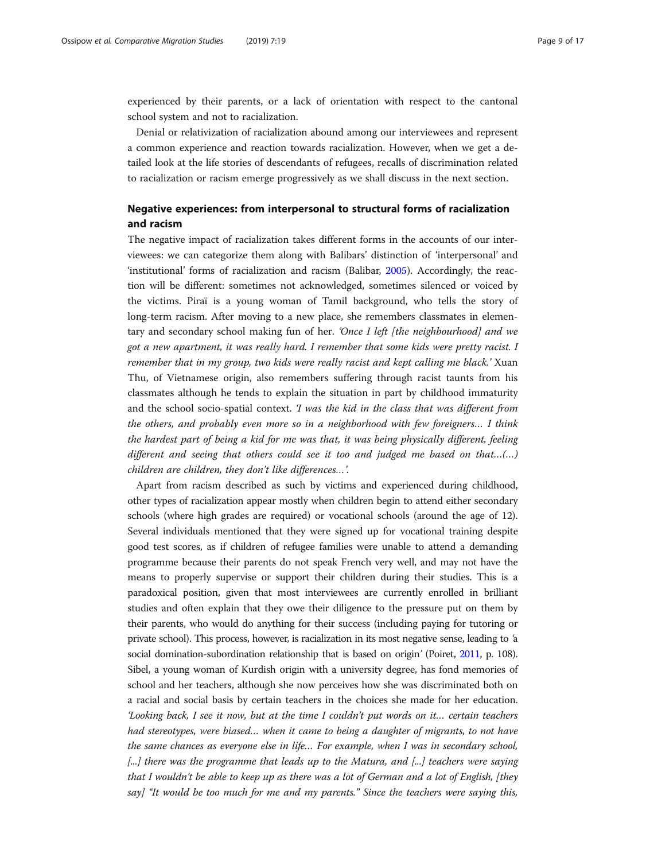experienced by their parents, or a lack of orientation with respect to the cantonal school system and not to racialization.

Denial or relativization of racialization abound among our interviewees and represent a common experience and reaction towards racialization. However, when we get a detailed look at the life stories of descendants of refugees, recalls of discrimination related to racialization or racism emerge progressively as we shall discuss in the next section.

## Negative experiences: from interpersonal to structural forms of racialization and racism

The negative impact of racialization takes different forms in the accounts of our interviewees: we can categorize them along with Balibars' distinction of 'interpersonal' and 'institutional' forms of racialization and racism (Balibar, [2005](#page-14-0)). Accordingly, the reaction will be different: sometimes not acknowledged, sometimes silenced or voiced by the victims. Piraï is a young woman of Tamil background, who tells the story of long-term racism. After moving to a new place, she remembers classmates in elementary and secondary school making fun of her. 'Once I left [the neighbourhood] and we got a new apartment, it was really hard. I remember that some kids were pretty racist. I remember that in my group, two kids were really racist and kept calling me black.' Xuan Thu, of Vietnamese origin, also remembers suffering through racist taunts from his classmates although he tends to explain the situation in part by childhood immaturity and the school socio-spatial context. 'I was the kid in the class that was different from the others, and probably even more so in a neighborhood with few foreigners… I think the hardest part of being a kid for me was that, it was being physically different, feeling different and seeing that others could see it too and judged me based on that...(...) children are children, they don't like differences…'.

Apart from racism described as such by victims and experienced during childhood, other types of racialization appear mostly when children begin to attend either secondary schools (where high grades are required) or vocational schools (around the age of 12). Several individuals mentioned that they were signed up for vocational training despite good test scores, as if children of refugee families were unable to attend a demanding programme because their parents do not speak French very well, and may not have the means to properly supervise or support their children during their studies. This is a paradoxical position, given that most interviewees are currently enrolled in brilliant studies and often explain that they owe their diligence to the pressure put on them by their parents, who would do anything for their success (including paying for tutoring or private school). This process, however, is racialization in its most negative sense, leading to 'a social domination-subordination relationship that is based on origin' (Poiret, [2011,](#page-16-0) p. 108). Sibel, a young woman of Kurdish origin with a university degree, has fond memories of school and her teachers, although she now perceives how she was discriminated both on a racial and social basis by certain teachers in the choices she made for her education. 'Looking back, I see it now, but at the time I couldn't put words on it… certain teachers had stereotypes, were biased… when it came to being a daughter of migrants, to not have the same chances as everyone else in life… For example, when I was in secondary school, [...] there was the programme that leads up to the Matura, and [...] teachers were saying that I wouldn't be able to keep up as there was a lot of German and a lot of English, [they say] "It would be too much for me and my parents." Since the teachers were saying this,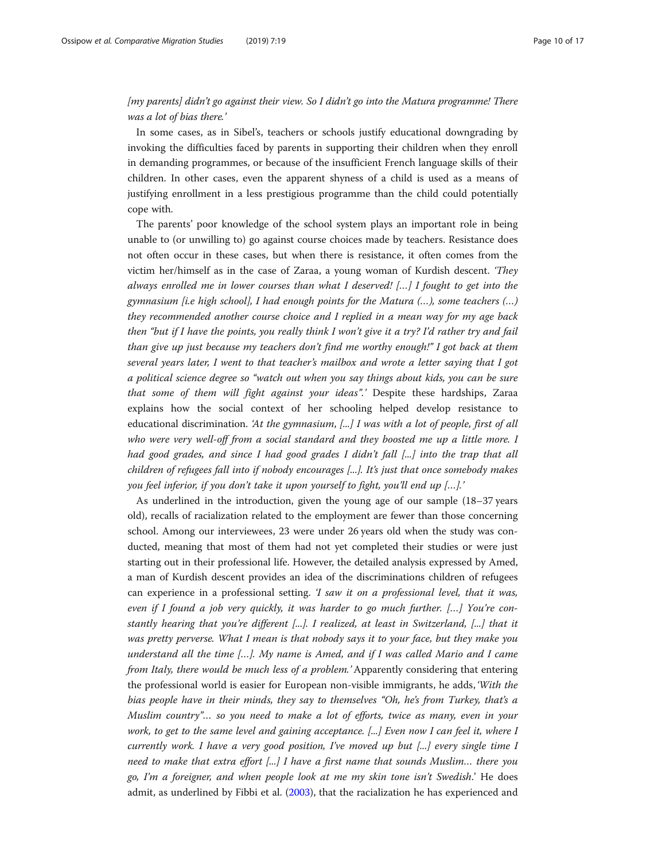## [my parents] didn't go against their view. So I didn't go into the Matura programme! There was a lot of bias there.'

In some cases, as in Sibel's, teachers or schools justify educational downgrading by invoking the difficulties faced by parents in supporting their children when they enroll in demanding programmes, or because of the insufficient French language skills of their children. In other cases, even the apparent shyness of a child is used as a means of justifying enrollment in a less prestigious programme than the child could potentially cope with.

The parents' poor knowledge of the school system plays an important role in being unable to (or unwilling to) go against course choices made by teachers. Resistance does not often occur in these cases, but when there is resistance, it often comes from the victim her/himself as in the case of Zaraa, a young woman of Kurdish descent. 'They always enrolled me in lower courses than what I deserved!  $[...]$  I fought to get into the gymnasium [i.e high school], I had enough points for the Matura  $(...)$ , some teachers  $(...)$ they recommended another course choice and I replied in a mean way for my age back then "but if I have the points, you really think I won't give it a try? I'd rather try and fail than give up just because my teachers don't find me worthy enough!" I got back at them several years later, I went to that teacher's mailbox and wrote a letter saying that I got a political science degree so "watch out when you say things about kids, you can be sure that some of them will fight against your ideas".' Despite these hardships, Zaraa explains how the social context of her schooling helped develop resistance to educational discrimination. 'At the gymnasium,  $[\dots]$  I was with a lot of people, first of all who were very well-off from a social standard and they boosted me up a little more. I had good grades, and since I had good grades I didn't fall [...] into the trap that all children of refugees fall into if nobody encourages [...]. It's just that once somebody makes you feel inferior, if you don't take it upon yourself to fight, you'll end up […].'

As underlined in the introduction, given the young age of our sample (18–37 years old), recalls of racialization related to the employment are fewer than those concerning school. Among our interviewees, 23 were under 26 years old when the study was conducted, meaning that most of them had not yet completed their studies or were just starting out in their professional life. However, the detailed analysis expressed by Amed, a man of Kurdish descent provides an idea of the discriminations children of refugees can experience in a professional setting. 'I saw it on a professional level, that it was, even if I found a job very quickly, it was harder to go much further. [...] You're constantly hearing that you're different [...]. I realized, at least in Switzerland, [...] that it was pretty perverse. What I mean is that nobody says it to your face, but they make you understand all the time […]. My name is Amed, and if I was called Mario and I came from Italy, there would be much less of a problem.' Apparently considering that entering the professional world is easier for European non-visible immigrants, he adds, 'With the bias people have in their minds, they say to themselves "Oh, he's from Turkey, that's a Muslim country"… so you need to make a lot of efforts, twice as many, even in your work, to get to the same level and gaining acceptance. [...] Even now I can feel it, where I currently work. I have a very good position, I've moved up but [...] every single time I need to make that extra effort [...] I have a first name that sounds Muslim… there you go, I'm a foreigner, and when people look at me my skin tone isn't Swedish.' He does admit, as underlined by Fibbi et al. [\(2003\)](#page-15-0), that the racialization he has experienced and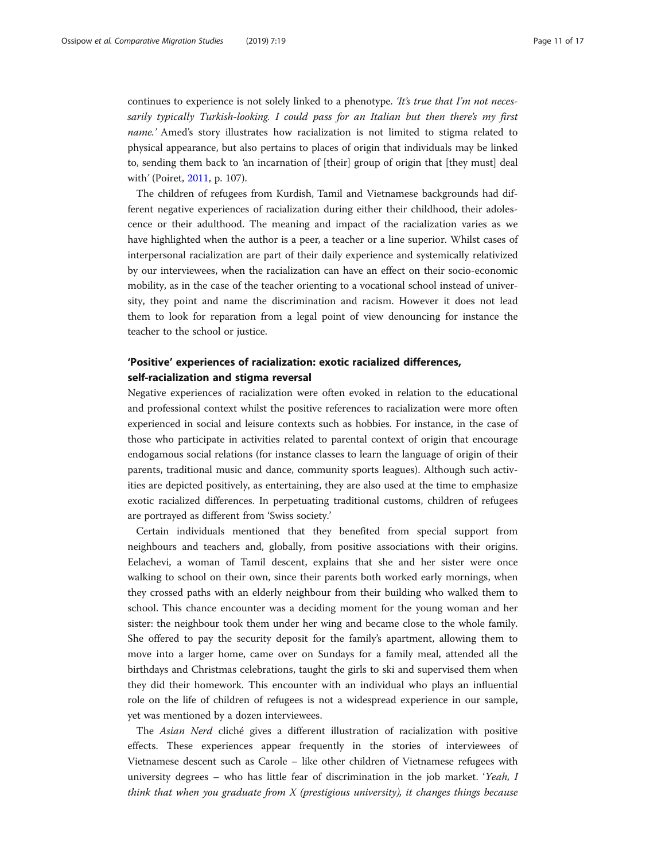continues to experience is not solely linked to a phenotype. *'It's true that I'm not neces*sarily typically Turkish-looking. I could pass for an Italian but then there's my first name.' Amed's story illustrates how racialization is not limited to stigma related to physical appearance, but also pertains to places of origin that individuals may be linked to, sending them back to 'an incarnation of [their] group of origin that [they must] deal with' (Poiret, [2011,](#page-16-0) p. 107).

The children of refugees from Kurdish, Tamil and Vietnamese backgrounds had different negative experiences of racialization during either their childhood, their adolescence or their adulthood. The meaning and impact of the racialization varies as we have highlighted when the author is a peer, a teacher or a line superior. Whilst cases of interpersonal racialization are part of their daily experience and systemically relativized by our interviewees, when the racialization can have an effect on their socio-economic mobility, as in the case of the teacher orienting to a vocational school instead of university, they point and name the discrimination and racism. However it does not lead them to look for reparation from a legal point of view denouncing for instance the teacher to the school or justice.

## 'Positive' experiences of racialization: exotic racialized differences, self-racialization and stigma reversal

Negative experiences of racialization were often evoked in relation to the educational and professional context whilst the positive references to racialization were more often experienced in social and leisure contexts such as hobbies. For instance, in the case of those who participate in activities related to parental context of origin that encourage endogamous social relations (for instance classes to learn the language of origin of their parents, traditional music and dance, community sports leagues). Although such activities are depicted positively, as entertaining, they are also used at the time to emphasize exotic racialized differences. In perpetuating traditional customs, children of refugees are portrayed as different from 'Swiss society.'

Certain individuals mentioned that they benefited from special support from neighbours and teachers and, globally, from positive associations with their origins. Eelachevi, a woman of Tamil descent, explains that she and her sister were once walking to school on their own, since their parents both worked early mornings, when they crossed paths with an elderly neighbour from their building who walked them to school. This chance encounter was a deciding moment for the young woman and her sister: the neighbour took them under her wing and became close to the whole family. She offered to pay the security deposit for the family's apartment, allowing them to move into a larger home, came over on Sundays for a family meal, attended all the birthdays and Christmas celebrations, taught the girls to ski and supervised them when they did their homework. This encounter with an individual who plays an influential role on the life of children of refugees is not a widespread experience in our sample, yet was mentioned by a dozen interviewees.

The Asian Nerd cliché gives a different illustration of racialization with positive effects. These experiences appear frequently in the stories of interviewees of Vietnamese descent such as Carole – like other children of Vietnamese refugees with university degrees – who has little fear of discrimination in the job market. 'Yeah, I think that when you graduate from  $X$  (prestigious university), it changes things because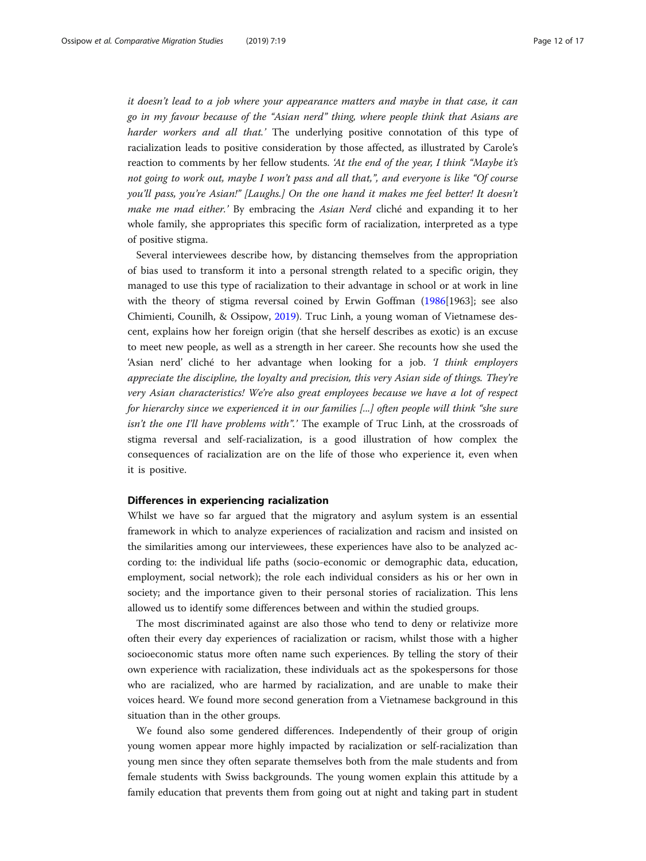it doesn't lead to a job where your appearance matters and maybe in that case, it can go in my favour because of the "Asian nerd" thing, where people think that Asians are harder workers and all that.' The underlying positive connotation of this type of racialization leads to positive consideration by those affected, as illustrated by Carole's reaction to comments by her fellow students. 'At the end of the year, I think "Maybe it's not going to work out, maybe I won't pass and all that,", and everyone is like "Of course you'll pass, you're Asian!" [Laughs.] On the one hand it makes me feel better! It doesn't make me mad either.' By embracing the Asian Nerd cliché and expanding it to her whole family, she appropriates this specific form of racialization, interpreted as a type of positive stigma.

Several interviewees describe how, by distancing themselves from the appropriation of bias used to transform it into a personal strength related to a specific origin, they managed to use this type of racialization to their advantage in school or at work in line with the theory of stigma reversal coined by Erwin Goffman [\(1986\[](#page-15-0)1963]; see also Chimienti, Counilh, & Ossipow, [2019\)](#page-15-0). Truc Linh, a young woman of Vietnamese descent, explains how her foreign origin (that she herself describes as exotic) is an excuse to meet new people, as well as a strength in her career. She recounts how she used the 'Asian nerd' cliché to her advantage when looking for a job. 'I think employers appreciate the discipline, the loyalty and precision, this very Asian side of things. They're very Asian characteristics! We're also great employees because we have a lot of respect for hierarchy since we experienced it in our families [...] often people will think "she sure isn't the one I'll have problems with".' The example of Truc Linh, at the crossroads of stigma reversal and self-racialization, is a good illustration of how complex the consequences of racialization are on the life of those who experience it, even when it is positive.

#### Differences in experiencing racialization

Whilst we have so far argued that the migratory and asylum system is an essential framework in which to analyze experiences of racialization and racism and insisted on the similarities among our interviewees, these experiences have also to be analyzed according to: the individual life paths (socio-economic or demographic data, education, employment, social network); the role each individual considers as his or her own in society; and the importance given to their personal stories of racialization. This lens allowed us to identify some differences between and within the studied groups.

The most discriminated against are also those who tend to deny or relativize more often their every day experiences of racialization or racism, whilst those with a higher socioeconomic status more often name such experiences. By telling the story of their own experience with racialization, these individuals act as the spokespersons for those who are racialized, who are harmed by racialization, and are unable to make their voices heard. We found more second generation from a Vietnamese background in this situation than in the other groups.

We found also some gendered differences. Independently of their group of origin young women appear more highly impacted by racialization or self-racialization than young men since they often separate themselves both from the male students and from female students with Swiss backgrounds. The young women explain this attitude by a family education that prevents them from going out at night and taking part in student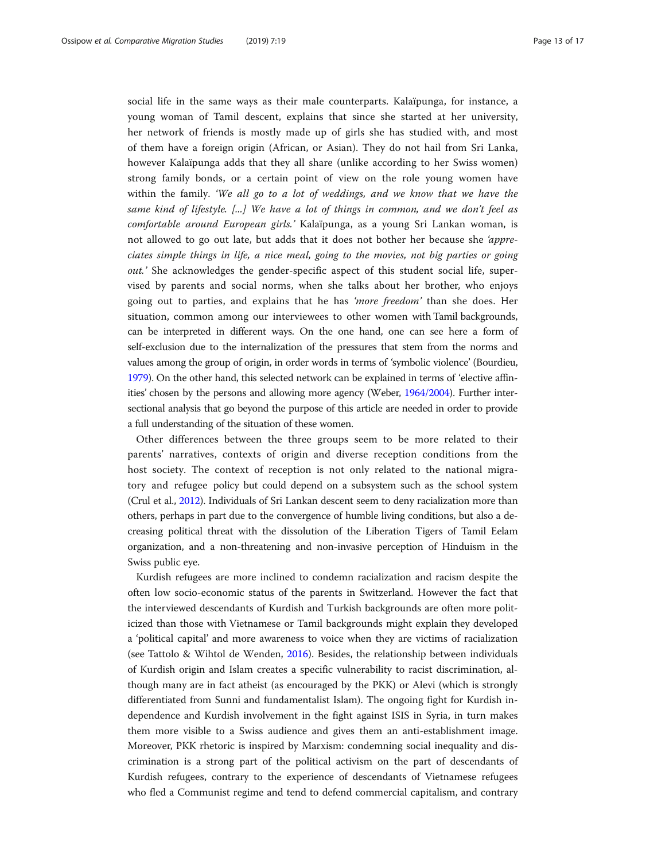social life in the same ways as their male counterparts. Kalaïpunga, for instance, a young woman of Tamil descent, explains that since she started at her university, her network of friends is mostly made up of girls she has studied with, and most of them have a foreign origin (African, or Asian). They do not hail from Sri Lanka, however Kalaïpunga adds that they all share (unlike according to her Swiss women) strong family bonds, or a certain point of view on the role young women have within the family. 'We all go to a lot of weddings, and we know that we have the same kind of lifestyle. [...] We have a lot of things in common, and we don't feel as comfortable around European girls.' Kalaïpunga, as a young Sri Lankan woman, is not allowed to go out late, but adds that it does not bother her because she 'appreciates simple things in life, a nice meal, going to the movies, not big parties or going out.' She acknowledges the gender-specific aspect of this student social life, supervised by parents and social norms, when she talks about her brother, who enjoys going out to parties, and explains that he has 'more freedom' than she does. Her situation, common among our interviewees to other women with Tamil backgrounds, can be interpreted in different ways. On the one hand, one can see here a form of self-exclusion due to the internalization of the pressures that stem from the norms and values among the group of origin, in order words in terms of 'symbolic violence' (Bourdieu, [1979\)](#page-15-0). On the other hand, this selected network can be explained in terms of 'elective affinities' chosen by the persons and allowing more agency (Weber, [1964/2004\)](#page-16-0). Further intersectional analysis that go beyond the purpose of this article are needed in order to provide a full understanding of the situation of these women.

Other differences between the three groups seem to be more related to their parents' narratives, contexts of origin and diverse reception conditions from the host society. The context of reception is not only related to the national migratory and refugee policy but could depend on a subsystem such as the school system (Crul et al., [2012](#page-15-0)). Individuals of Sri Lankan descent seem to deny racialization more than others, perhaps in part due to the convergence of humble living conditions, but also a decreasing political threat with the dissolution of the Liberation Tigers of Tamil Eelam organization, and a non-threatening and non-invasive perception of Hinduism in the Swiss public eye.

Kurdish refugees are more inclined to condemn racialization and racism despite the often low socio-economic status of the parents in Switzerland. However the fact that the interviewed descendants of Kurdish and Turkish backgrounds are often more politicized than those with Vietnamese or Tamil backgrounds might explain they developed a 'political capital' and more awareness to voice when they are victims of racialization (see Tattolo & Wihtol de Wenden, [2016](#page-16-0)). Besides, the relationship between individuals of Kurdish origin and Islam creates a specific vulnerability to racist discrimination, although many are in fact atheist (as encouraged by the PKK) or Alevi (which is strongly differentiated from Sunni and fundamentalist Islam). The ongoing fight for Kurdish independence and Kurdish involvement in the fight against ISIS in Syria, in turn makes them more visible to a Swiss audience and gives them an anti-establishment image. Moreover, PKK rhetoric is inspired by Marxism: condemning social inequality and discrimination is a strong part of the political activism on the part of descendants of Kurdish refugees, contrary to the experience of descendants of Vietnamese refugees who fled a Communist regime and tend to defend commercial capitalism, and contrary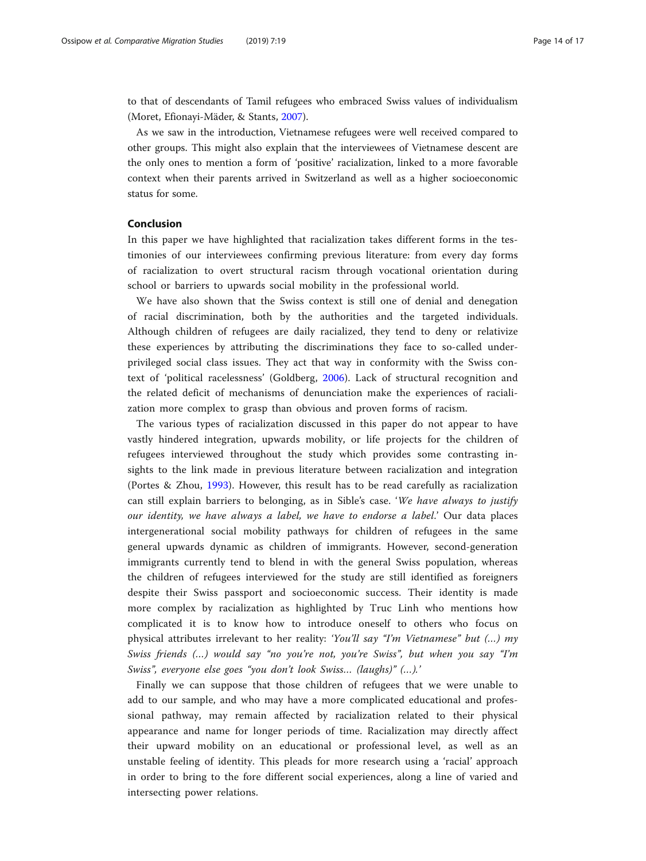to that of descendants of Tamil refugees who embraced Swiss values of individualism (Moret, Efionayi-Mäder, & Stants, [2007](#page-16-0)).

As we saw in the introduction, Vietnamese refugees were well received compared to other groups. This might also explain that the interviewees of Vietnamese descent are the only ones to mention a form of 'positive' racialization, linked to a more favorable context when their parents arrived in Switzerland as well as a higher socioeconomic status for some.

### Conclusion

In this paper we have highlighted that racialization takes different forms in the testimonies of our interviewees confirming previous literature: from every day forms of racialization to overt structural racism through vocational orientation during school or barriers to upwards social mobility in the professional world.

We have also shown that the Swiss context is still one of denial and denegation of racial discrimination, both by the authorities and the targeted individuals. Although children of refugees are daily racialized, they tend to deny or relativize these experiences by attributing the discriminations they face to so-called underprivileged social class issues. They act that way in conformity with the Swiss context of 'political racelessness' (Goldberg, [2006\)](#page-15-0). Lack of structural recognition and the related deficit of mechanisms of denunciation make the experiences of racialization more complex to grasp than obvious and proven forms of racism.

The various types of racialization discussed in this paper do not appear to have vastly hindered integration, upwards mobility, or life projects for the children of refugees interviewed throughout the study which provides some contrasting insights to the link made in previous literature between racialization and integration (Portes & Zhou, [1993\)](#page-16-0). However, this result has to be read carefully as racialization can still explain barriers to belonging, as in Sible's case. 'We have always to justify our identity, we have always a label, we have to endorse a label.' Our data places intergenerational social mobility pathways for children of refugees in the same general upwards dynamic as children of immigrants. However, second-generation immigrants currently tend to blend in with the general Swiss population, whereas the children of refugees interviewed for the study are still identified as foreigners despite their Swiss passport and socioeconomic success. Their identity is made more complex by racialization as highlighted by Truc Linh who mentions how complicated it is to know how to introduce oneself to others who focus on physical attributes irrelevant to her reality: 'You'll say "I'm Vietnamese" but (…) my Swiss friends (...) would say "no you're not, you're Swiss", but when you say "I'm Swiss", everyone else goes "you don't look Swiss… (laughs)" (…).'

Finally we can suppose that those children of refugees that we were unable to add to our sample, and who may have a more complicated educational and professional pathway, may remain affected by racialization related to their physical appearance and name for longer periods of time. Racialization may directly affect their upward mobility on an educational or professional level, as well as an unstable feeling of identity. This pleads for more research using a 'racial' approach in order to bring to the fore different social experiences, along a line of varied and intersecting power relations.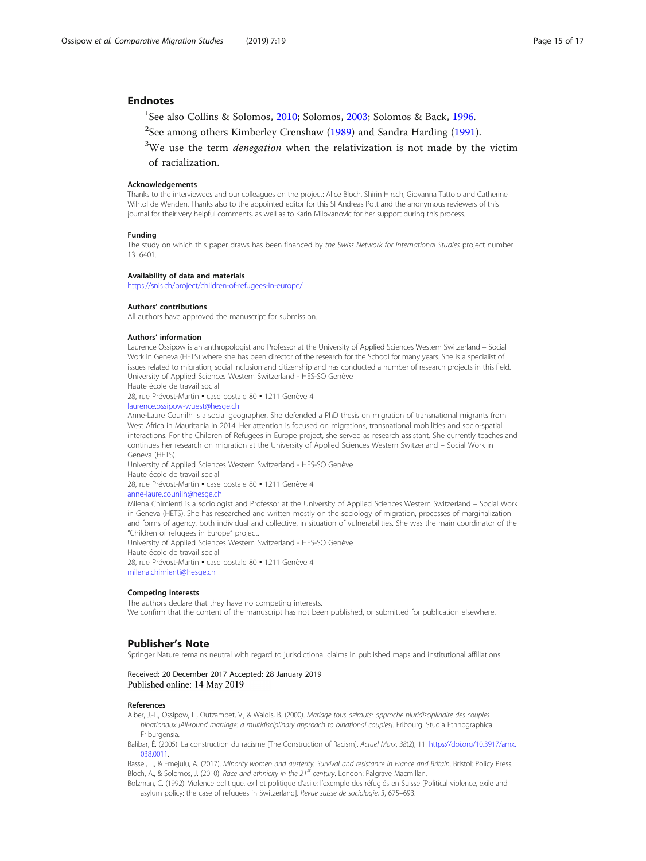#### <span id="page-14-0"></span>**Endnotes**

<sup>1</sup>See also Collins & Solomos, [2010](#page-15-0); Solomos, [2003](#page-16-0); Solomos & Back, [1996.](#page-16-0)

- $^2$ See among others Kimberley Crenshaw ([1989](#page-15-0)) and Sandra Harding ([1991\)](#page-15-0).
- $3$ We use the term *denegation* when the relativization is not made by the victim

of racialization.

#### Acknowledgements

Thanks to the interviewees and our colleagues on the project: Alice Bloch, Shirin Hirsch, Giovanna Tattolo and Catherine Wihtol de Wenden. Thanks also to the appointed editor for this SI Andreas Pott and the anonymous reviewers of this journal for their very helpful comments, as well as to Karin Milovanovic for her support during this process.

#### Funding

The study on which this paper draws has been financed by the Swiss Network for International Studies project number 13–6401.

#### Availability of data and materials

<https://snis.ch/project/children-of-refugees-in-europe/>

#### Authors' contributions

All authors have approved the manuscript for submission.

#### Authors' information

Laurence Ossipow is an anthropologist and Professor at the University of Applied Sciences Western Switzerland – Social Work in Geneva (HETS) where she has been director of the research for the School for many years. She is a specialist of issues related to migration, social inclusion and citizenship and has conducted a number of research projects in this field. University of Applied Sciences Western Switzerland - HES-SO Genève

Haute école de travail social

28, rue Prévost-Martin · case postale 80 · 1211 Genève 4

#### [laurence.ossipow-wuest@hesge.ch](mailto:Laurence.ossipow-wuest@hesge.ch)

Anne-Laure Counilh is a social geographer. She defended a PhD thesis on migration of transnational migrants from West Africa in Mauritania in 2014. Her attention is focused on migrations, transnational mobilities and socio-spatial interactions. For the Children of Refugees in Europe project, she served as research assistant. She currently teaches and continues her research on migration at the University of Applied Sciences Western Switzerland – Social Work in Geneva (HETS).

University of Applied Sciences Western Switzerland - HES-SO Genève

Haute école de travail social

28, rue Prévost-Martin · case postale 80 · 1211 Genève 4

### [anne-laure.counilh@hesge.ch](mailto:anne-laure.counilh@hesge.ch)

Milena Chimienti is a sociologist and Professor at the University of Applied Sciences Western Switzerland – Social Work in Geneva (HETS). She has researched and written mostly on the sociology of migration, processes of marginalization and forms of agency, both individual and collective, in situation of vulnerabilities. She was the main coordinator of the "Children of refugees in Europe" project.

University of Applied Sciences Western Switzerland - HES-SO Genève Haute école de travail social 28, rue Prévost-Martin · case postale 80 · 1211 Genève 4

[milena.chimienti@hesge.ch](mailto:milena.chimienti@hesge.ch)

#### Competing interests

The authors declare that they have no competing interests. We confirm that the content of the manuscript has not been published, or submitted for publication elsewhere.

#### Publisher's Note

Springer Nature remains neutral with regard to jurisdictional claims in published maps and institutional affiliations.

#### Received: 20 December 2017 Accepted: 28 January 2019 Published online: 14 May 2019

#### References

Alber, J.-L., Ossipow, L., Outzambet, V., & Waldis, B. (2000). Mariage tous azimuts: approche pluridisciplinaire des couples binationaux [All-round marriage: a multidisciplinary approach to binational couples]. Fribourg: Studia Ethnographica Friburgensia.

Balibar, É. (2005). La construction du racisme [The Construction of Racism]. Actuel Marx, 38(2), 11. [https://doi.org/10.3917/amx.](https://doi.org/10.3917/amx.038.0011) [038.0011.](https://doi.org/10.3917/amx.038.0011)

Bassel, L., & Emejulu, A. (2017). Minority women and austerity. Survival and resistance in France and Britain. Bristol: Policy Press. Bloch, A., & Solomos, J. (2010). Race and ethnicity in the 21<sup>st</sup> century. London: Palgrave Macmillan.

Bolzman, C. (1992). Violence politique, exil et politique d'asile: l'exemple des réfugiés en Suisse [Political violence, exile and asylum policy: the case of refugees in Switzerland]. Revue suisse de sociologie, 3, 675–693.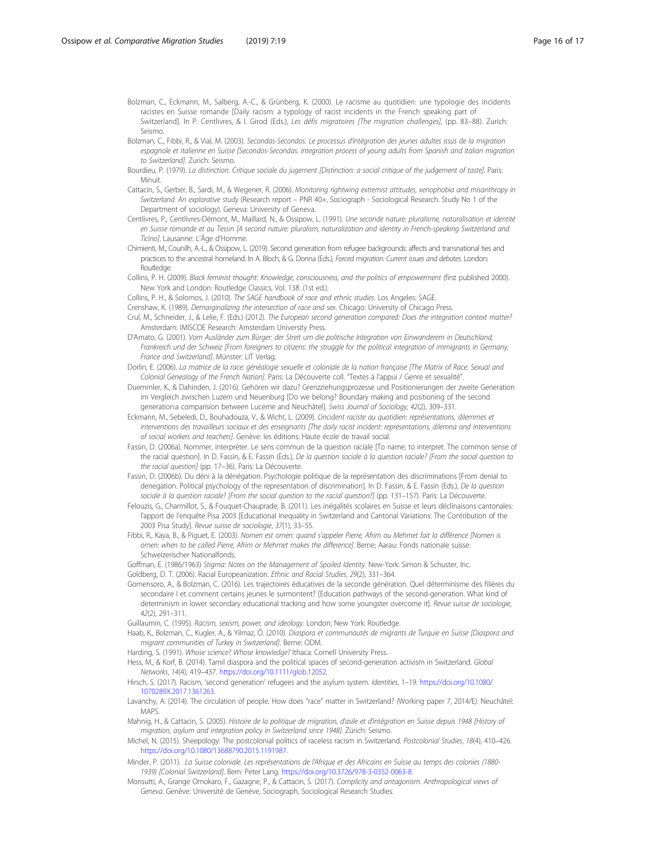<span id="page-15-0"></span>Bolzman, C., Eckmann, M., Salberg, A.-C., & Grünberg, K. (2000). Le racisme au quotidien: une typologie des incidents racistes en Suisse romande [Daily racism: a typology of racist incidents in the French speaking part of Switzerland]. In P. Centlivres, & I. Girod (Eds.), Les défis migratoires [The migration challenges], (pp. 83–88). Zurich: Seismo.

Bolzman, C., Fibbi, R., & Vial, M. (2003). Secondas-Secondos. Le processus d'intégration des jeunes adultes issus de la migration espagnole et italienne en Suisse [Secondos-Secondas. Integration process of young adults from Spanish and Italian migration to Switzerland]. Zurich: Seismo.

Bourdieu, P. (1979). La distinction. Critique sociale du jugement [Distinction: a social critique of the judgement of taste]. Paris: Minuit.

Cattacin, S., Gerber, B., Sardi, M., & Wegener, R. (2006). Monitoring rightwing extremist attitudes, xenophobia and misanthropy in Switzerland. An explorative study (Research report – PNR 40+, Sociograph - Sociological Research. Study No 1 of the Department of sociology). Geneva: University of Geneva.

Centlivres, P., Centlivres-Démont, M., Maillard, N., & Ossipow, L. (1991). Une seconde nature: pluralisme, naturalisation et identité en Suisse romande et au Tessin [A second nature: pluralism, naturalization and identity in French-speaking Switzerland and Ticino]. Lausanne: L'Âge d'Homme.

Chimienti, M., Counilh, A.-L., & Ossipow, L. (2019). Second generation from refugee backgrounds: affects and transnational ties and practices to the ancestral homeland. In A. Bloch, & G. Donna (Eds.), Forced migration: Current issues and debates. London: Routledge.

Collins, P. H. (2009). Black feminist thought: Knowledge, consciousness, and the politics of empowerment (first published 2000). New York and London: Routledge Classics, Vol. 138. (1st ed.).

Collins, P. H., & Solomos, J. (2010). The SAGE handbook of race and ethnic studies. Los Angeles: SAGE.

Crenshaw, K. (1989). Demarginalizing the intersection of race and sex. Chicago: University of Chicago Press.

Crul, M., Schneider, J., & Lelie, F. (Eds.) (2012). The European second generation compared: Does the integration context matter? Amsterdam: IMISCOE Research: Amsterdam University Press.

D'Amato, G. (2001). Vom Ausländer zum Bürger: der Streit um die politische Integration von Einwanderern in Deutschland, Frankreich und der Schweiz [From foreigners to citizens: the struggle for the political integration of immigrants in Germany, France and Switzerland]. Münster: LIT Verlag.

Dorlin, E. (2006). La matrice de la race: généalogie sexuelle et coloniale de la nation française [The Matrix of Race: Sexual and Colonial Genealogy of the French Nation]. Paris: La Découverte coll. "Textes à l'appui / Genre et sexualité".

Duemmler, K., & Dahinden, J. (2016). Gehören wir dazu? Grenzziehungsprozesse und Positionierungen der zweite Generation im Vergleich zwischen Luzern und Neuenburg [Do we belong? Boundary making and positioning of the second generation:a comparision between Lucerne and Neuchâtel]. Swiss Journal of Sociology, 42(2), 309-331.

Eckmann, M., Sebeledi, D., Bouhadouza, V., & Wicht, L. (2009). L'incident raciste au quotidien: représentations, dilemmes et interventions des travailleurs sociaux et des enseignants [The daily racist incident: representations, dilemna and interventions of social workers and teachers]. Genève: Ies éditions: Haute école de travail social.

Fassin, D. (2006a). Nommer, interpréter. Le sens commun de la question raciale [To name, to interpret. The common sense of the racial question]. In D. Fassin, & E. Fassin (Eds.), De la question sociale à la question raciale? [From the social question to the racial question] (pp. 17–36). Paris: La Découverte.

Fassin, D. (2006b). Du déni à la dénégation. Psychologie politique de la représentation des discriminations [From denial to denegation. Political psychology of the representation of discrimination]. In D. Fassin, & E. Fassin (Eds.), De la question sociale à la question raciale? [From the social question to the racial question?] (pp. 131-157). Paris: La Découverte.

Felouzis, G., Charmillot, S., & Fouquet-Chauprade, B. (2011). Les inégalités scolaires en Suisse et leurs déclinaisons cantonales: l'apport de l'enquête Pisa 2003 [Educational Inequality in Switzerland and Cantonal Variations: The Contribution of the 2003 Pisa Study]. Revue suisse de sociologie, 37(1), 33–55.

Fibbi, R., Kaya, B., & Piguet, E. (2003). Nomen est omen: quand s'appeler Pierre, Afrim ou Mehmet fait la différence [Nomen is omen: when to be called Pierre, Afrim or Mehmet makes the difference]. Berne; Aarau: Fonds nationale suisse: Schweizerischer Nationalfonds.

Goffman, E. (1986/1963) Stigma: Notes on the Management of Spoiled Identity. New-York: Simon & Schuster, Inc. Goldberg, D. T. (2006). Racial Europeanization. Ethnic and Racial Studies, 29(2), 331–364.

Gomensoro, A., & Bolzman, C. (2016). Les trajectoires éducatives de la seconde génération. Quel déterminisme des filières du secondaire I et comment certains jeunes le surmontent? [Education pathways of the second-generation. What kind of determinism in lower secondary educational tracking and how some youngster overcome it]. Revue suisse de sociologie, 42(2), 291–311.

Guillaumin, C. (1995). Racism, sexism, power, and ideology. London; New York: Routledge.

Haab, K., Bolzman, C., Kugler, A., & Yilmaz, Ö. (2010). Diaspora et communautés de migrants de Turquie en Suisse [Diaspora and migrant communities of Turkey in Switzerland]. Berne: ODM.

Harding, S. (1991). Whose science? Whose knowledge? Ithaca: Cornell University Press.

Hess, M., & Korf, B. (2014). Tamil diaspora and the political spaces of second-generation activism in Switzerland. Global Networks, 14(4), 419–437. [https://doi.org/10.1111/glob.12052.](https://doi.org/10.1111/glob.12052)

Hirsch, S. (2017). Racism, 'second generation' refugees and the asylum system. Identities, 1–19. [https://doi.org/10.1080/](https://doi.org/10.1080/1070289X.2017.1361263) [1070289X.2017.1361263](https://doi.org/10.1080/1070289X.2017.1361263).

Lavanchy, A. (2014). The circulation of people. How does "race" matter in Switzerland? (Working paper 7, 2014/E). Neuchâtel: **MAPS** 

Mahnig, H., & Cattacin, S. (2005). Histoire de la politique de migration, d'asile et d'intégration en Suisse depuis 1948 [History of migration, asylum and integration policy in Switzerland since 1948]. Zürich: Seismo.

Michel, N. (2015). Sheepology: The postcolonial politics of raceless racism in Switzerland. Postcolonial Studies, 18(4), 410–426. <https://doi.org/10.1080/13688790.2015.1191987>.

Minder, P. (2011). La Suisse coloniale. Les représentations de l'Afrique et des Africains en Suisse au temps des colonies (1880- 1939) [Colonial Switzerland]. Bern: Peter Lang. [https://doi.org/10.3726/978-3-0352-0063-8.](https://doi.org/10.3726/978-3-0352-0063-8)

Monsutti, A., Grange Omokaro, F., Gazagne, P., & Cattacin, S. (2017). Complicity and antagonism. Anthropological views of Geneva. Genève: Université de Genève, Sociograph, Sociological Research Studies.